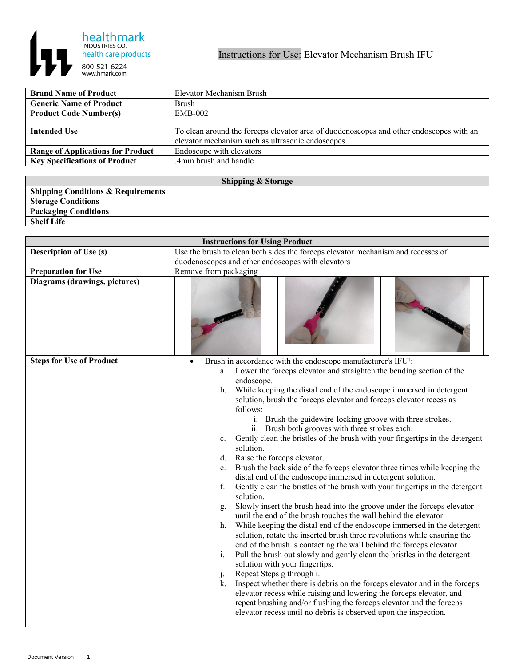

| <b>Brand Name of Product</b>             | Elevator Mechanism Brush                                                                |
|------------------------------------------|-----------------------------------------------------------------------------------------|
| <b>Generic Name of Product</b>           | Brush                                                                                   |
| <b>Product Code Number(s)</b>            | $EMB-002$                                                                               |
|                                          |                                                                                         |
| <b>Intended Use</b>                      | To clean around the forceps elevator area of duodenoscopes and other endoscopes with an |
|                                          | elevator mechanism such as ultrasonic endoscopes                                        |
| <b>Range of Applications for Product</b> | Endoscope with elevators                                                                |
| <b>Key Specifications of Product</b>     | .4mm brush and handle                                                                   |

| <b>Shipping &amp; Storage</b>                 |  |  |
|-----------------------------------------------|--|--|
| <b>Shipping Conditions &amp; Requirements</b> |  |  |
| <b>Storage Conditions</b>                     |  |  |
| <b>Packaging Conditions</b>                   |  |  |
| <b>Shelf Life</b>                             |  |  |

| <b>Instructions for Using Product</b> |                                                                                                                                                                                                                                                                                                                                                                                                                                                                                                                                                                                                                                                                                                                                                                                                                                                                                                                                                                                                                                                                                                                                                                                                                                                                                                                                                                                                                                                                                                                                                                                                                                                                                                                                |  |
|---------------------------------------|--------------------------------------------------------------------------------------------------------------------------------------------------------------------------------------------------------------------------------------------------------------------------------------------------------------------------------------------------------------------------------------------------------------------------------------------------------------------------------------------------------------------------------------------------------------------------------------------------------------------------------------------------------------------------------------------------------------------------------------------------------------------------------------------------------------------------------------------------------------------------------------------------------------------------------------------------------------------------------------------------------------------------------------------------------------------------------------------------------------------------------------------------------------------------------------------------------------------------------------------------------------------------------------------------------------------------------------------------------------------------------------------------------------------------------------------------------------------------------------------------------------------------------------------------------------------------------------------------------------------------------------------------------------------------------------------------------------------------------|--|
| <b>Description of Use (s)</b>         | Use the brush to clean both sides the forceps elevator mechanism and recesses of                                                                                                                                                                                                                                                                                                                                                                                                                                                                                                                                                                                                                                                                                                                                                                                                                                                                                                                                                                                                                                                                                                                                                                                                                                                                                                                                                                                                                                                                                                                                                                                                                                               |  |
|                                       | duodenoscopes and other endoscopes with elevators                                                                                                                                                                                                                                                                                                                                                                                                                                                                                                                                                                                                                                                                                                                                                                                                                                                                                                                                                                                                                                                                                                                                                                                                                                                                                                                                                                                                                                                                                                                                                                                                                                                                              |  |
| <b>Preparation for Use</b>            | Remove from packaging                                                                                                                                                                                                                                                                                                                                                                                                                                                                                                                                                                                                                                                                                                                                                                                                                                                                                                                                                                                                                                                                                                                                                                                                                                                                                                                                                                                                                                                                                                                                                                                                                                                                                                          |  |
| Diagrams (drawings, pictures)         |                                                                                                                                                                                                                                                                                                                                                                                                                                                                                                                                                                                                                                                                                                                                                                                                                                                                                                                                                                                                                                                                                                                                                                                                                                                                                                                                                                                                                                                                                                                                                                                                                                                                                                                                |  |
| <b>Steps for Use of Product</b>       | Brush in accordance with the endoscope manufacturer's IFU <sup>1</sup> :<br>a. Lower the forceps elevator and straighten the bending section of the<br>endoscope.<br>While keeping the distal end of the endoscope immersed in detergent<br>$\mathbf{b}$ .<br>solution, brush the forceps elevator and forceps elevator recess as<br>follows:<br>i. Brush the guidewire-locking groove with three strokes.<br>ii. Brush both grooves with three strokes each.<br>Gently clean the bristles of the brush with your fingertips in the detergent<br>$c_{\cdot}$<br>solution.<br>Raise the forceps elevator.<br>d.<br>Brush the back side of the forceps elevator three times while keeping the<br>e.<br>distal end of the endoscope immersed in detergent solution.<br>Gently clean the bristles of the brush with your fingertips in the detergent<br>f.<br>solution.<br>Slowly insert the brush head into the groove under the forceps elevator<br>g.<br>until the end of the brush touches the wall behind the elevator<br>While keeping the distal end of the endoscope immersed in the detergent<br>h.<br>solution, rotate the inserted brush three revolutions while ensuring the<br>end of the brush is contacting the wall behind the forceps elevator.<br>Pull the brush out slowly and gently clean the bristles in the detergent<br>i.<br>solution with your fingertips.<br>Repeat Steps g through i.<br>$j$ .<br>Inspect whether there is debris on the forceps elevator and in the forceps<br>k.<br>elevator recess while raising and lowering the forceps elevator, and<br>repeat brushing and/or flushing the forceps elevator and the forceps<br>elevator recess until no debris is observed upon the inspection. |  |